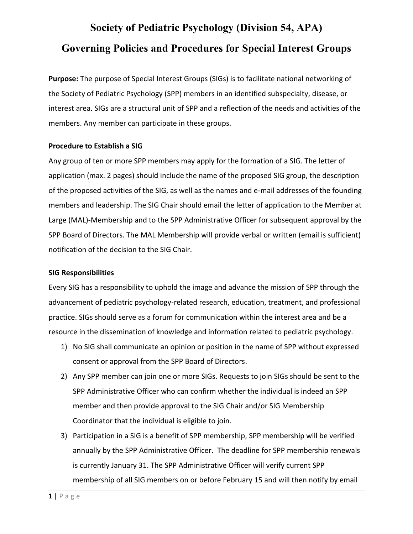# **Society of Pediatric Psychology (Division 54, APA) Governing Policies and Procedures for Special Interest Groups**

**Purpose:** The purpose of Special Interest Groups (SIGs) is to facilitate national networking of the Society of Pediatric Psychology (SPP) members in an identified subspecialty, disease, or interest area. SIGs are a structural unit of SPP and a reflection of the needs and activities of the members. Any member can participate in these groups.

## **Procedure to Establish a SIG**

Any group of ten or more SPP members may apply for the formation of a SIG. The letter of application (max. 2 pages) should include the name of the proposed SIG group, the description of the proposed activities of the SIG, as well as the names and e-mail addresses of the founding members and leadership. The SIG Chair should email the letter of application to the Member at Large (MAL)-Membership and to the SPP Administrative Officer for subsequent approval by the SPP Board of Directors. The MAL Membership will provide verbal or written (email is sufficient) notification of the decision to the SIG Chair.

#### **SIG Responsibilities**

Every SIG has a responsibility to uphold the image and advance the mission of SPP through the advancement of pediatric psychology-related research, education, treatment, and professional practice. SIGs should serve as a forum for communication within the interest area and be a resource in the dissemination of knowledge and information related to pediatric psychology.

- 1) No SIG shall communicate an opinion or position in the name of SPP without expressed consent or approval from the SPP Board of Directors.
- 2) Any SPP member can join one or more SIGs. Requests to join SIGs should be sent to the SPP Administrative Officer who can confirm whether the individual is indeed an SPP member and then provide approval to the SIG Chair and/or SIG Membership Coordinator that the individual is eligible to join.
- 3) Participation in a SIG is a benefit of SPP membership, SPP membership will be verified annually by the SPP Administrative Officer. The deadline for SPP membership renewals is currently January 31. The SPP Administrative Officer will verify current SPP membership of all SIG members on or before February 15 and will then notify by email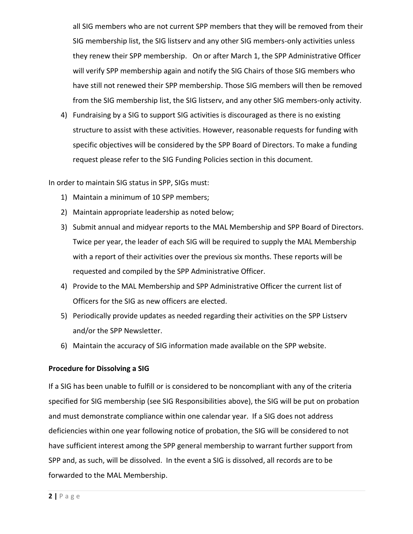all SIG members who are not current SPP members that they will be removed from their SIG membership list, the SIG listserv and any other SIG members-only activities unless they renew their SPP membership. On or after March 1, the SPP Administrative Officer will verify SPP membership again and notify the SIG Chairs of those SIG members who have still not renewed their SPP membership. Those SIG members will then be removed from the SIG membership list, the SIG listserv, and any other SIG members-only activity.

4) Fundraising by a SIG to support SIG activities is discouraged as there is no existing structure to assist with these activities. However, reasonable requests for funding with specific objectives will be considered by the SPP Board of Directors. To make a funding request please refer to the SIG Funding Policies section in this document.

In order to maintain SIG status in SPP, SIGs must:

- 1) Maintain a minimum of 10 SPP members;
- 2) Maintain appropriate leadership as noted below;
- 3) Submit annual and midyear reports to the MAL Membership and SPP Board of Directors. Twice per year, the leader of each SIG will be required to supply the MAL Membership with a report of their activities over the previous six months. These reports will be requested and compiled by the SPP Administrative Officer.
- 4) Provide to the MAL Membership and SPP Administrative Officer the current list of Officers for the SIG as new officers are elected.
- 5) Periodically provide updates as needed regarding their activities on the SPP Listserv and/or the SPP Newsletter.
- 6) Maintain the accuracy of SIG information made available on the SPP website.

#### **Procedure for Dissolving a SIG**

If a SIG has been unable to fulfill or is considered to be noncompliant with any of the criteria specified for SIG membership (see SIG Responsibilities above), the SIG will be put on probation and must demonstrate compliance within one calendar year. If a SIG does not address deficiencies within one year following notice of probation, the SIG will be considered to not have sufficient interest among the SPP general membership to warrant further support from SPP and, as such, will be dissolved. In the event a SIG is dissolved, all records are to be forwarded to the MAL Membership.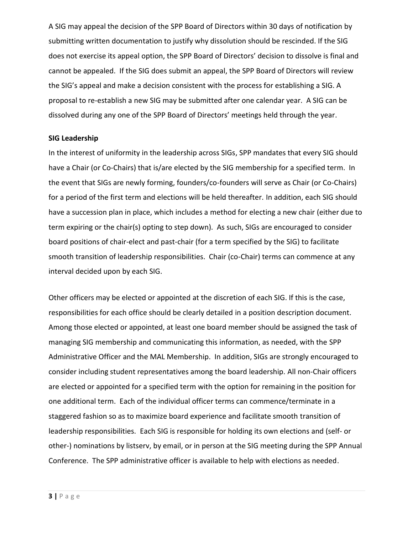A SIG may appeal the decision of the SPP Board of Directors within 30 days of notification by submitting written documentation to justify why dissolution should be rescinded. If the SIG does not exercise its appeal option, the SPP Board of Directors' decision to dissolve is final and cannot be appealed. If the SIG does submit an appeal, the SPP Board of Directors will review the SIG's appeal and make a decision consistent with the process for establishing a SIG. A proposal to re-establish a new SIG may be submitted after one calendar year. A SIG can be dissolved during any one of the SPP Board of Directors' meetings held through the year.

#### **SIG Leadership**

In the interest of uniformity in the leadership across SIGs, SPP mandates that every SIG should have a Chair (or Co-Chairs) that is/are elected by the SIG membership for a specified term. In the event that SIGs are newly forming, founders/co-founders will serve as Chair (or Co-Chairs) for a period of the first term and elections will be held thereafter. In addition, each SIG should have a succession plan in place, which includes a method for electing a new chair (either due to term expiring or the chair(s) opting to step down). As such, SIGs are encouraged to consider board positions of chair-elect and past-chair (for a term specified by the SIG) to facilitate smooth transition of leadership responsibilities. Chair (co-Chair) terms can commence at any interval decided upon by each SIG.

Other officers may be elected or appointed at the discretion of each SIG. If this is the case, responsibilities for each office should be clearly detailed in a position description document. Among those elected or appointed, at least one board member should be assigned the task of managing SIG membership and communicating this information, as needed, with the SPP Administrative Officer and the MAL Membership. In addition, SIGs are strongly encouraged to consider including student representatives among the board leadership. All non-Chair officers are elected or appointed for a specified term with the option for remaining in the position for one additional term. Each of the individual officer terms can commence/terminate in a staggered fashion so as to maximize board experience and facilitate smooth transition of leadership responsibilities. Each SIG is responsible for holding its own elections and (self- or other-) nominations by listserv, by email, or in person at the SIG meeting during the SPP Annual Conference. The SPP administrative officer is available to help with elections as needed.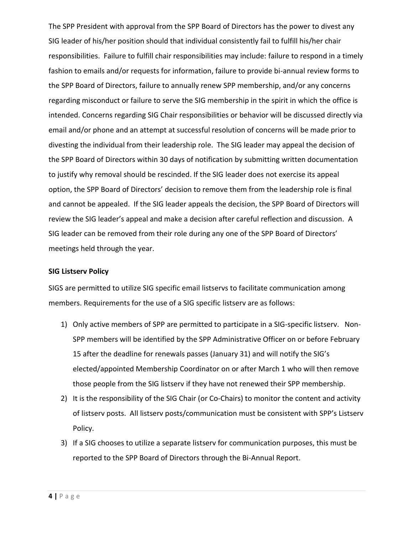The SPP President with approval from the SPP Board of Directors has the power to divest any SIG leader of his/her position should that individual consistently fail to fulfill his/her chair responsibilities. Failure to fulfill chair responsibilities may include: failure to respond in a timely fashion to emails and/or requests for information, failure to provide bi-annual review forms to the SPP Board of Directors, failure to annually renew SPP membership, and/or any concerns regarding misconduct or failure to serve the SIG membership in the spirit in which the office is intended. Concerns regarding SIG Chair responsibilities or behavior will be discussed directly via email and/or phone and an attempt at successful resolution of concerns will be made prior to divesting the individual from their leadership role. The SIG leader may appeal the decision of the SPP Board of Directors within 30 days of notification by submitting written documentation to justify why removal should be rescinded. If the SIG leader does not exercise its appeal option, the SPP Board of Directors' decision to remove them from the leadership role is final and cannot be appealed. If the SIG leader appeals the decision, the SPP Board of Directors will review the SIG leader's appeal and make a decision after careful reflection and discussion. A SIG leader can be removed from their role during any one of the SPP Board of Directors' meetings held through the year.

#### **SIG Listserv Policy**

SIGS are permitted to utilize SIG specific email listservs to facilitate communication among members. Requirements for the use of a SIG specific listserv are as follows:

- 1) Only active members of SPP are permitted to participate in a SIG-specific listserv. Non-SPP members will be identified by the SPP Administrative Officer on or before February 15 after the deadline for renewals passes (January 31) and will notify the SIG's elected/appointed Membership Coordinator on or after March 1 who will then remove those people from the SIG listserv if they have not renewed their SPP membership.
- 2) It is the responsibility of the SIG Chair (or Co-Chairs) to monitor the content and activity of listserv posts. All listserv posts/communication must be consistent with SPP's Listserv Policy.
- 3) If a SIG chooses to utilize a separate listserv for communication purposes, this must be reported to the SPP Board of Directors through the Bi-Annual Report.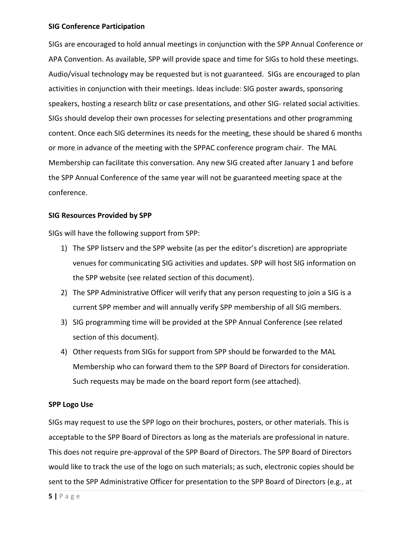#### **SIG Conference Participation**

SIGs are encouraged to hold annual meetings in conjunction with the SPP Annual Conference or APA Convention. As available, SPP will provide space and time for SIGs to hold these meetings. Audio/visual technology may be requested but is not guaranteed. SIGs are encouraged to plan activities in conjunction with their meetings. Ideas include: SIG poster awards, sponsoring speakers, hosting a research blitz or case presentations, and other SIG- related social activities. SIGs should develop their own processes for selecting presentations and other programming content. Once each SIG determines its needs for the meeting, these should be shared 6 months or more in advance of the meeting with the SPPAC conference program chair. The MAL Membership can facilitate this conversation. Any new SIG created after January 1 and before the SPP Annual Conference of the same year will not be guaranteed meeting space at the conference.

#### **SIG Resources Provided by SPP**

SIGs will have the following support from SPP:

- 1) The SPP listserv and the SPP website (as per the editor's discretion) are appropriate venues for communicating SIG activities and updates. SPP will host SIG information on the SPP website (see related section of this document).
- 2) The SPP Administrative Officer will verify that any person requesting to join a SIG is a current SPP member and will annually verify SPP membership of all SIG members.
- 3) SIG programming time will be provided at the SPP Annual Conference (see related section of this document).
- 4) Other requests from SIGs for support from SPP should be forwarded to the MAL Membership who can forward them to the SPP Board of Directors for consideration. Such requests may be made on the board report form (see attached).

#### **SPP Logo Use**

SIGs may request to use the SPP logo on their brochures, posters, or other materials. This is acceptable to the SPP Board of Directors as long as the materials are professional in nature. This does not require pre-approval of the SPP Board of Directors. The SPP Board of Directors would like to track the use of the logo on such materials; as such, electronic copies should be sent to the SPP Administrative Officer for presentation to the SPP Board of Directors (e.g., at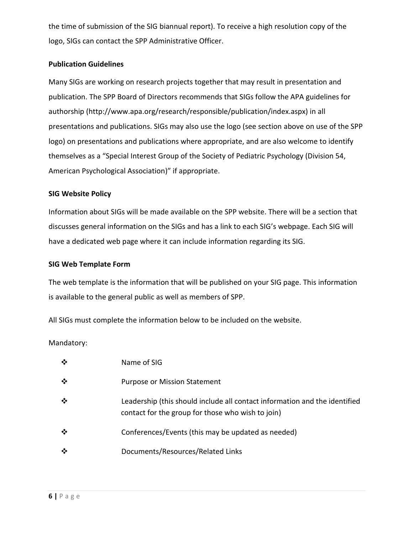the time of submission of the SIG biannual report). To receive a high resolution copy of the logo, SIGs can contact the SPP Administrative Officer.

### **Publication Guidelines**

Many SIGs are working on research projects together that may result in presentation and publication. The SPP Board of Directors recommends that SIGs follow the APA guidelines for authorship (http://www.apa.org/research/responsible/publication/index.aspx) in all presentations and publications. SIGs may also use the logo (see section above on use of the SPP logo) on presentations and publications where appropriate, and are also welcome to identify themselves as a "Special Interest Group of the Society of Pediatric Psychology (Division 54, American Psychological Association)" if appropriate.

#### **SIG Website Policy**

Information about SIGs will be made available on the SPP website. There will be a section that discusses general information on the SIGs and has a link to each SIG's webpage. Each SIG will have a dedicated web page where it can include information regarding its SIG.

#### **SIG Web Template Form**

The web template is the information that will be published on your SIG page. This information is available to the general public as well as members of SPP.

All SIGs must complete the information below to be included on the website.

Mandatory:

| ❖ | Name of SIG                                                                                                                     |
|---|---------------------------------------------------------------------------------------------------------------------------------|
| ❖ | <b>Purpose or Mission Statement</b>                                                                                             |
| ❖ | Leadership (this should include all contact information and the identified<br>contact for the group for those who wish to join) |
| ❖ | Conferences/Events (this may be updated as needed)                                                                              |
| ❖ | Documents/Resources/Related Links                                                                                               |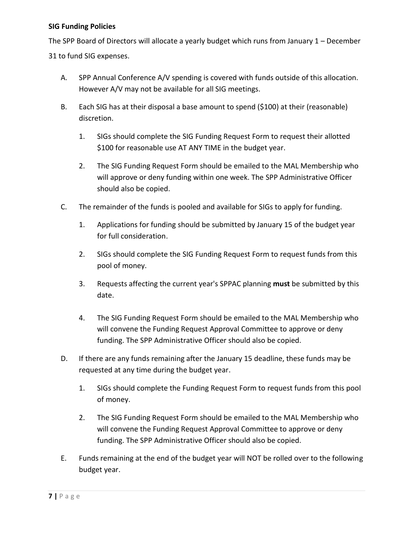## **SIG Funding Policies**

The SPP Board of Directors will allocate a yearly budget which runs from January 1 – December 31 to fund SIG expenses.

- A. SPP Annual Conference A/V spending is covered with funds outside of this allocation. However A/V may not be available for all SIG meetings.
- B. Each SIG has at their disposal a base amount to spend (\$100) at their (reasonable) discretion.
	- 1. SIGs should complete the SIG Funding Request Form to request their allotted \$100 for reasonable use AT ANY TIME in the budget year.
	- 2. The SIG Funding Request Form should be emailed to the MAL Membership who will approve or deny funding within one week. The SPP Administrative Officer should also be copied.
- C. The remainder of the funds is pooled and available for SIGs to apply for funding.
	- 1. Applications for funding should be submitted by January 15 of the budget year for full consideration.
	- 2. SIGs should complete the SIG Funding Request Form to request funds from this pool of money.
	- 3. Requests affecting the current year's SPPAC planning **must** be submitted by this date.
	- 4. The SIG Funding Request Form should be emailed to the MAL Membership who will convene the Funding Request Approval Committee to approve or deny funding. The SPP Administrative Officer should also be copied.
- D. If there are any funds remaining after the January 15 deadline, these funds may be requested at any time during the budget year.
	- 1. SIGs should complete the Funding Request Form to request funds from this pool of money.
	- 2. The SIG Funding Request Form should be emailed to the MAL Membership who will convene the Funding Request Approval Committee to approve or deny funding. The SPP Administrative Officer should also be copied.
- E. Funds remaining at the end of the budget year will NOT be rolled over to the following budget year.